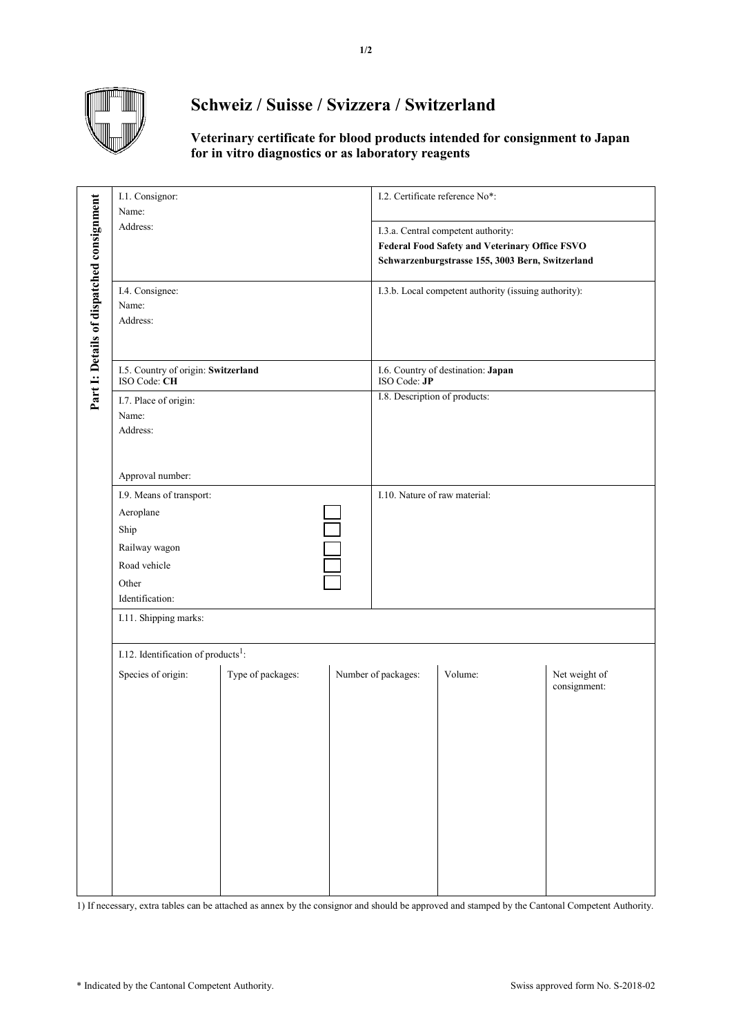

## **Schweiz / Suisse / Svizzera / Switzerland**

## **Veterinary certificate for blood products intended for consignment to Japan for in vitro diagnostics or as laboratory reagents**

|                                           | I.1. Consignor:<br>Name:<br>Address:                                                                       |                   |  | I.2. Certificate reference No*:                                                                                                           |         |                               |  |
|-------------------------------------------|------------------------------------------------------------------------------------------------------------|-------------------|--|-------------------------------------------------------------------------------------------------------------------------------------------|---------|-------------------------------|--|
|                                           |                                                                                                            |                   |  | I.3.a. Central competent authority:<br>Federal Food Safety and Veterinary Office FSVO<br>Schwarzenburgstrasse 155, 3003 Bern, Switzerland |         |                               |  |
| Part I: Details of dispatched consignment | I.4. Consignee:<br>Name:<br>Address:                                                                       |                   |  | I.3.b. Local competent authority (issuing authority):                                                                                     |         |                               |  |
|                                           | I.5. Country of origin: Switzerland<br>ISO Code: CH                                                        |                   |  | I.6. Country of destination: Japan<br>ISO Code: JP                                                                                        |         |                               |  |
|                                           | I.7. Place of origin:<br>Name:<br>Address:                                                                 |                   |  | I.8. Description of products:                                                                                                             |         |                               |  |
|                                           | Approval number:                                                                                           |                   |  |                                                                                                                                           |         |                               |  |
|                                           | I.9. Means of transport:<br>Aeroplane<br>Ship<br>Railway wagon<br>Road vehicle<br>Other<br>Identification: |                   |  | I.10. Nature of raw material:                                                                                                             |         |                               |  |
|                                           | I.11. Shipping marks:                                                                                      |                   |  |                                                                                                                                           |         |                               |  |
|                                           | I.12. Identification of products <sup>1</sup> :                                                            |                   |  |                                                                                                                                           |         |                               |  |
|                                           | Species of origin:                                                                                         | Type of packages: |  | Number of packages:                                                                                                                       | Volume: | Net weight of<br>consignment: |  |

1) If necessary, extra tables can be attached as annex by the consignor and should be approved and stamped by the Cantonal Competent Authority.